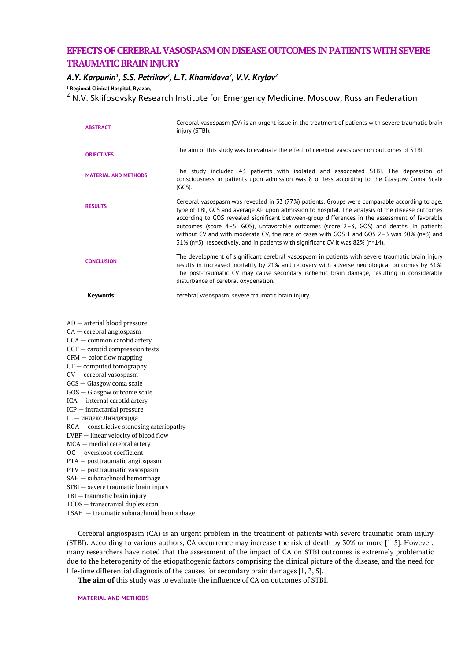# **EFFECTSOF CEREBRAL VASOSPASM ON DISEASE OUTCOMES IN PATIENTS WITH SEVERE TRAUMATIC BRAIN INJURY**

## *A.Y. Karpunin<sup>1</sup> , S.S. Petrikov<sup>2</sup> , L.T. Khamidova<sup>2</sup> , V.V. Krylov<sup>2</sup>*

**<sup>1</sup> Regional Clinical Hospital, Ryazan,**

<sup>2</sup> N.V. Sklifosovsky Research Institute for Emergency Medicine, Moscow, Russian Federation

| <b>ABSTRACT</b>             | Cerebral vasospasm (CV) is an urgent issue in the treatment of patients with severe traumatic brain<br>injury (STBI).                                                                                                                                                                                                                                                                                                                                                                                                                                                                         |
|-----------------------------|-----------------------------------------------------------------------------------------------------------------------------------------------------------------------------------------------------------------------------------------------------------------------------------------------------------------------------------------------------------------------------------------------------------------------------------------------------------------------------------------------------------------------------------------------------------------------------------------------|
| <b>OBJECTIVES</b>           | The aim of this study was to evaluate the effect of cerebral vasospasm on outcomes of STBI.                                                                                                                                                                                                                                                                                                                                                                                                                                                                                                   |
| <b>MATERIAL AND METHODS</b> | The study included 43 patients with isolated and assocoated STBI. The depression of<br>consciousness in patients upon admission was 8 or less according to the Glasgow Coma Scale<br>$(GCS)$ .                                                                                                                                                                                                                                                                                                                                                                                                |
| <b>RESULTS</b>              | Cerebral vasospasm was revealed in 33 (77%) patients. Groups were comparable according to age,<br>type of TBI, GCS and average AP upon admission to hospital. The analysis of the disease outcomes<br>according to GOS revealed significant between-group differences in the assessment of favorable<br>outcomes (score $4-5$ , GOS), unfavorable outcomes (score $2-3$ , GOS) and deaths. In patients<br>without CV and with moderate CV, the rate of cases with GOS 1 and GOS $2-3$ was 30% (n=3) and<br>$31\%$ (n=5), respectively, and in patients with significant CV it was 82% (n=14). |
| <b>CONCLUSION</b>           | The development of significant cerebral vasospasm in patients with severe traumatic brain injury<br>results in increased mortality by 21% and recovery with adverse neurological outcomes by 31%.<br>The post-traumatic CV may cause secondary ischemic brain damage, resulting in considerable<br>disturbance of cerebral oxygenation.                                                                                                                                                                                                                                                       |
| Keywords:                   | cerebral vasospasm, severe traumatic brain injury.                                                                                                                                                                                                                                                                                                                                                                                                                                                                                                                                            |

AD — arterial blood pressure

CA — cerebral angiospasm

CCA — common carotid artery

CCT — carotid compression tests

 $CFM - color$  flow mapping CT — computed tomography

CV — cerebral vasospasm

GCS — Glasgow coma scale

GOS — Glasgow outcome scale

ICA — internal carotid artery

ICP — intracranial pressure

IL — индекс Линдегарда

КСА — constrictive stenosing arteriopathy

LVBF — linear velocity of blood flow

MCA — medial cerebral artery

OC — overshoot coefficient PTA — posttraumatic angiospasm

PTV — posttraumatic vasospasm

SAH — subarachnoid hemorrhage

STBI — severe traumatic brain injury

TBI — traumatic brain injury

TCDS— transcranial duplex scan

TSAH — traumatic subarachnoid hemorrhage

Cerebral angiospasm (CA) is an urgent problem in the treatment of patients with severe traumatic brain injury (STBI). According to various authors, CA occurrence may increase the risk of death by 30% or more [1-5]. However, many researchers have noted that the assessment of the impact of CA on STBI outcomes is extremely problematic due to the heterogenity of the etiopathogenic factors comprising the clinical picture of the disease, and the need for life-time differential diagnosis of the causes for secondary brain damages [1, 3, 5].

**The aim of** this study was to evaluate the influence of CA on outcomes of STBI.

**MATERIAL AND METHODS**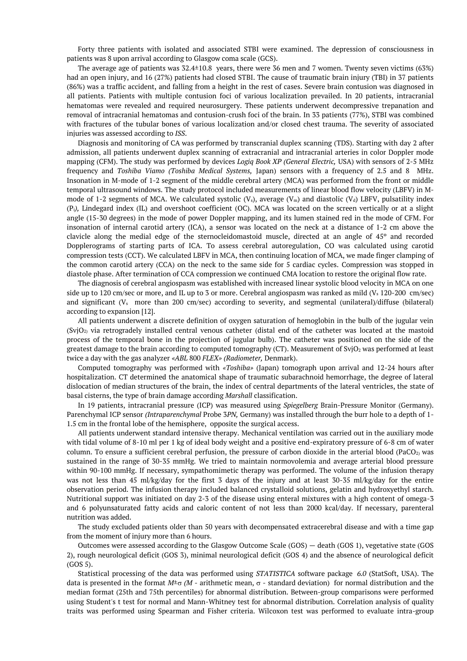Forty three patients with isolated and associated STBI were examined. The depression of consciousness in patients was 8 upon arrival according to Glasgow coma scale (GCS).

The average age of patients was 32.4±10.8 years, there were 36 men and 7 women. Twenty seven victims (63%) had an open injury, and 16 (27%) patients had closed STBI. The cause of traumatic brain injury (TBI) in 37 patients (86%) was a traffic accident, and falling from a height in the rest of cases. Severe brain contusion was diagnosed in all patients. Patients with multiple contusion foci of various localization prevailed. In 20 patients, intracranial hematomas were revealed and required neurosurgery. These patients underwent decompressive trepanation and removal of intracranial hematomas and contusion-crush foci of the brain. In 33 patients (77%), STBI was combined with fractures of the tubular bones of various localization and/or closed chest trauma. The severity of associated injuries was assessed according to *ISS*.

Diagnosis and monitoring of CA was performed by transcranial duplex scanning (TDS). Starting with day 2 after admission, all patients underwent duplex scanning of extracranial and intracranial arteries in color Doppler mode mapping (CFM). The study was performed by devices *Logiq Book XP (General Electric,* USA) with sensors of 2-5 MHz frequency and *Toshiba Viamo (Toshiba Medical Systems,* Japan) sensors with a frequency of 2.5 and 8 MHz. Insonation in M-mode of 1-2 segment of the middle cerebral artery (MCA) was performed from the front or middle temporal ultrasound windows. The study protocol included measurements of linear blood flow velocity (LBFV) in Mmode of 1-2 segments of MCA. We calculated systolic  $(V_s)$ , average  $(V_m)$  and diastolic  $(V_d)$  LBFV, pulsatility index (Pi*),* Lindegard index (IL) and overshoot coefficient (OC). MCA was located on the screen vertically or at a slight angle (15-30 degrees) in the mode of power Doppler mapping, and its lumen stained red in the mode of CFM. For insonation of internal carotid artery (ICA), a sensor was located on the neck at a distance of 1-2 cm above the clavicle along the medial edge of the sternocleidomastoid muscle, directed at an angle of 45º and recorded Dopplerograms of starting parts of ICA. To assess cerebral autoregulation, CO was calculated using carotid compression tests (CCT). We calculated LBFV in MCA, then continuing location of MCA, we made finger clamping of the common carotid artery (CCA) on the neck to the same side for 5 cardiac cycles. Compression was stopped in diastole phase. After termination of CCA compression we continued CMA location to restore the original flow rate.

The diagnosis of cerebral angiospasm was established with increased linear systolic blood velocity in MCA on one side up to 120 cm/sec or more, and IL up to 3 or more. Cerebral angiospasm was ranked as mild  $(V_s 120{\text -}200 \text{ cm/sec})$ and significant ( $V_s$  more than 200 cm/sec) according to severity, and segmental (unilateral)/diffuse (bilateral) according to expansion [12].

All patients underwent a discrete definition of oxygen saturation of hemoglobin in the bulb of the jugular vein  $(SvjO<sub>2</sub>)$  via retrogradely installed central venous catheter (distal end of the catheter was located at the mastoid process of the temporal bone in the projection of jugular bulb). The catheter was positioned on the side of the greatest damage to the brain according to computed tomography (CT). Measurement of SvjO<sub>2</sub> was performed at least twice a day with the gas analyzer *«ABL* 800 *FLEX» (Radiometer,* Denmark).

Computed tomography was performed with *«Toshiba»* (Japan) tomograph upon arrival and 12-24 hours after hospitalization. CT determined the anatomical shape of traumatic subarachnoid hemorrhage, the degree of lateral dislocation of median structures of the brain, the index of central departments of the lateral ventricles, the state of basal cisterns, the type of brain damage according *Marshall* classification.

In 19 patients, intracranial pressure (ICP) was measured using *Spiegelberg* Brain-Pressure Monitor (Germany). Parenchymal ICP sensor *(Intraparenchymal* Probe 3*PN,* Germany) was installed through the burr hole to a depth of 1- 1.5 cm in the frontal lobe of the hemisphere, opposite the surgical access.

All patients underwent standard intensive therapy. Mechanical ventilation was carried out in the auxiliary mode with tidal volume of 8-10 ml per 1 kg of ideal body weight and a positive end-expiratory pressure of 6-8 cm of water column. To ensure a sufficient cerebral perfusion, the pressure of carbon dioxide in the arterial blood (PaCO<sub>2)</sub> was sustained in the range of 30-35 mmHg. We tried to maintain normovolemia and average arterial blood pressure within 90-100 mmHg. If necessary, sympathomimetic therapy was performed. The volume of the infusion therapy was not less than 45 ml/kg/day for the first 3 days of the injury and at least 30-35 ml/kg/day for the entire observation period. The infusion therapy included balanced crystalloid solutions, gelatin and hydroxyethyl starch. Nutritional support was initiated on day 2-3 of the disease using enteral mixtures with a high content of omega-3 and 6 polyunsaturated fatty acids and caloric content of not less than 2000 kcal/day. If necessary, parenteral nutrition was added.

The study excluded patients older than 50 years with decompensated extracerebral disease and with a time gap from the moment of injury more than 6 hours.

Outcomes were assessed according to the Glasgow Outcome Scale (GOS) — death (GOS 1), vegetative state (GOS 2), rough neurological deficit (GOS 3), minimal neurological deficit (GOS 4) and the absence of neurological deficit (GOS 5).

Statistical processing of the data was performed using *STATISTICA* software package *6.0* (StatSoft, USA). The data is presented in the format  $M^{\pm}$  *(M* - arithmetic mean,  $\sigma$  - standard deviation) for normal distribution and the median format (25th and 75th percentiles) for abnormal distribution. Between-group comparisons were performed using Student's t test for normal and Mann-Whitney test for abnormal distribution. Correlation analysis of quality traits was performed using Spearman and Fisher criteria. Wilcoxon test was performed to evaluate intra-group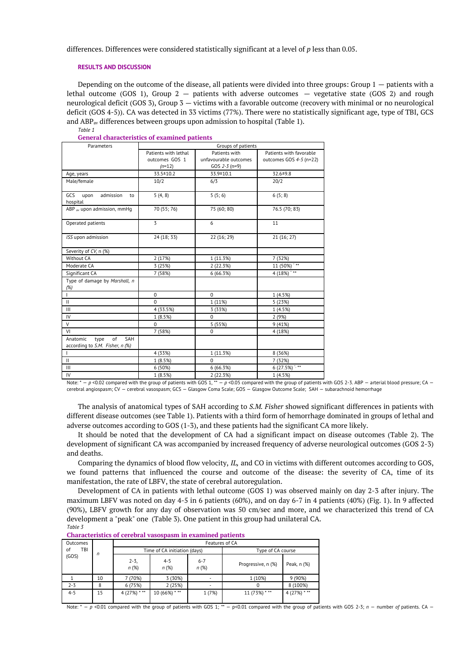differences. Differences were considered statistically significant at a level of *p* less than 0.05.

## **RESULTS AND DISCUSSION**

Depending on the outcome of the disease, all patients were divided into three groups: Group 1 — patients with a lethal outcome (GOS 1), Group 2 — patients with adverse outcomes — vegetative state (GOS 2) and rough neurological deficit (GOS 3), Group 3 — victims with a favorable outcome (recovery with minimal or no neurological deficit (GOS 4-5)). CA was detected in 33 victims (77%). There were no statistically significant age, type of TBI, GCS and ABPav differences between groups upon admission to hospital (Table 1). *Table 1*

| Parameters                                                       | senerui enurueteristics or enumineu putiems<br>Groups of patients |                       |                           |  |  |
|------------------------------------------------------------------|-------------------------------------------------------------------|-----------------------|---------------------------|--|--|
|                                                                  | Patients with lethal<br>Patients with                             |                       | Patients with favorable   |  |  |
|                                                                  | outcomes GOS 1                                                    | unfavourable outcomes | outcomes GOS 4-5 (n=22)   |  |  |
|                                                                  | $(n=12)$                                                          | GOS $2-3$ (n=9)       |                           |  |  |
| Age, years                                                       | 33.5 ± 10.2                                                       | 33.9±10.1             | 32.6±9.8                  |  |  |
| Male/female                                                      | 10/2                                                              | 6/3                   | 20/2                      |  |  |
| GCS<br>upon<br>admission<br>to<br>hospital                       | 5(4, 8)                                                           | 5(5; 6)               | 6(5; 8)                   |  |  |
| ABP av upon admission, mmHq                                      | 70 (55; 76)                                                       | 75 (60; 80)           | 76.5 (70; 83)             |  |  |
| Operated patients                                                | 3                                                                 | 6                     | 11                        |  |  |
| ISS upon admission                                               | 24 (18; 33)                                                       | 22 (16; 29)           | 21 (16; 27)               |  |  |
| Severity of CV, n (%)                                            |                                                                   |                       |                           |  |  |
| Without CA                                                       | 2 (17%)                                                           | 1 (11.3%)             | 7 (32%)                   |  |  |
| Moderate CA                                                      | 3 (25%)                                                           | 2 (22.3%)             | $11(50\%)$ <sup>***</sup> |  |  |
| Significant CA                                                   | 7 (58%)                                                           | 6 (66.3%)             | $4(18%)$ **               |  |  |
| Type of damage by Marshall, n<br>(%)                             |                                                                   |                       |                           |  |  |
| $\mathbf{L}$                                                     | $\Omega$                                                          | $\Omega$              | 1 (4.5%)                  |  |  |
| $\mathbf{H}$                                                     | $\Omega$                                                          | 1 (11%)               | 5 (23%)                   |  |  |
| III                                                              | 4 (33.5%)                                                         | 3 (33%)               | 1 (4.5%)                  |  |  |
| IV                                                               | 1 (8.5%)                                                          | $\Omega$              | 2 (9%)                    |  |  |
| $\vee$                                                           | $\mathbf 0$                                                       | 5 (55%)               | 9(41%)                    |  |  |
| VI                                                               | 7 (58%)                                                           | $\mathbf 0$           | 4 (18%)                   |  |  |
| SAH<br>of<br>Anatomic<br>type<br>according to S.M. Fisher, n (%) |                                                                   |                       |                           |  |  |
| $\mathbf{I}$                                                     | 4 (33%)                                                           | 1 (11.3%)<br>8 (36%)  |                           |  |  |
| $\mathbf{H}$                                                     | 1 (8.5%)                                                          | $\Omega$              | 7 (32%)                   |  |  |
| $\mathbf{III}$                                                   | 6 (50%)                                                           | 6 (66.3%)             | 6(27.5%)                  |  |  |
| IV                                                               | 1 (8.5%)                                                          | 2 (22.3%)             | 1(4.5%)                   |  |  |

**General characteristics of examined patients**

Note: \* - p <0.02 compared with the group of patients with GOS 1,\*\* - p <0.05 compared with the group of patients with GOS 2-3. ABP - arterial blood pressure; CA cerebral angiospasm; CV — cerebral vasospasm; GCS — Glasgow Coma Scale; GOS — Glasgow Outcome Scale; SAH — subarachnoid hemorrhage

The analysis of anatomical types of SAH according to *S.M. Fisher* showed significant differences in patients with different disease outcomes (see Table 1). Patients with a third form of hemorrhage dominated in groups of lethal and adverse outcomes according to GOS (1-3), and these patients had the significant CA more likely.

It should be noted that the development of CA had a significant impact on disease outcomes (Table 2). The development of significant CA was accompanied by increased frequency of adverse neurological outcomes (GOS 2-3) and deaths.

Comparing the dynamics of blood flow velocity, *IL,* and CO in victims with different outcomes according to GOS, we found patterns that influenced the course and outcome of the disease: the severity of CA, time of its manifestation, the rate of LBFV, the state of cerebral autoregulation.

Development of CA in patients with lethal outcome (GOS 1) was observed mainly on day 2-3 after injury. The maximum LBFV was noted on day 4-5 in 6 patients (60%), and on day 6-7 in 4 patients (40%) (Fig. 1). In 9 affected (90%), LBFV growth for any day of observation was 50 cm/sec and more, and we characterized this trend of CA development a "peak" one (Table 3). One patient in this group had unilateral CA. *Table 3*

| Outcomes                |         | Features of CA               |                 |                   |                    |              |  |
|-------------------------|---------|------------------------------|-----------------|-------------------|--------------------|--------------|--|
| TBI<br>οf<br>n<br>(GOS) |         | Time of CA initiation (days) |                 | Type of CA course |                    |              |  |
|                         |         | $2 - 3$<br>n(%)              | $4 - 5$<br>n(%) | $6 - 7$<br>n(%)   | Progressive, n (%) | Peak, n (%)  |  |
|                         | 10      | 7 (70%)                      | 3 (30%)         |                   | 1 (10%)            | 9 (90%)      |  |
| $2 - 3$                 | $\circ$ | 6 (75%)                      | 2(25%)          | ۰                 |                    | 8 (100%)     |  |
| $4 - 5$                 | 15      | $4(27%)$ ***                 | $10(66\%)$ ***  | 1 (7%)            | $11(73\%)$ ***     | $4(27%)$ *** |  |

**Characteristics of cerebral vasospasm in examined patients**

Note: \* - *p* <0.01 compared with the group of patients with GOS 1; \*\* - p<0.01 compared with the group of patients with GOS 2-3; *n* - number *of* patients. CA -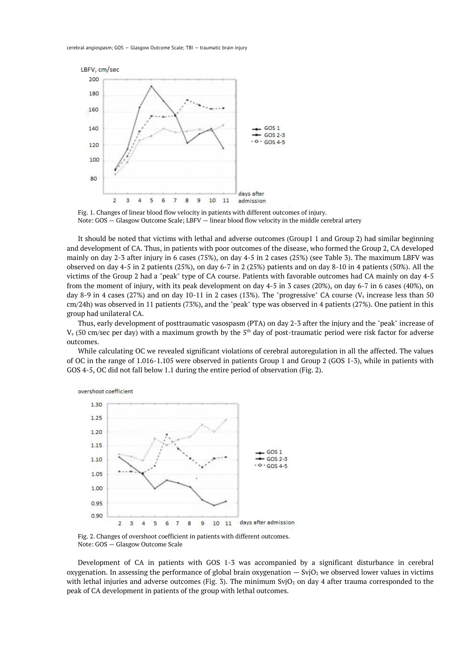

Fig. 1. Changes of linear blood flow velocity in patients with different outcomes of injury. Note: GOS — Glasgow Outcome Scale; LBFV — linear blood flow velocity in the middle cerebral artery

It should be noted that victims with lethal and adverse outcomes (Group1 1 and Group 2) had similar beginning and development of CA. Thus, in patients with poor outcomes of the disease, who formed the Group 2, CA developed mainly on day 2-3 after injury in 6 cases (75%), on day 4-5 in 2 cases (25%) (see Table 3). The maximum LBFV was observed on day 4-5 in 2 patients (25%), on day 6-7 in 2 (25%) patients and on day 8-10 in 4 patients (50%). All the victims of the Group 2 had a "peak" type of CA course. Patients with favorable outcomes had CA mainly on day 4-5 from the moment of injury, with its peak development on day 4-5 in 3 cases (20%), on day 6-7 in 6 cases (40%), on day 8-9 in 4 cases (27%) and on day 10-11 in 2 cases (13%). The "progressive" CA course (V<sub>s</sub> increase less than 50 cm/24h) was observed in 11 patients (73%), and the "peak" type was observed in 4 patients (27%). One patient in this group had unilateral CA.

Thus, early development of posttraumatic vasospasm (PTA) on day 2-3 after the injury and the "peak" increase of  $V_s$  (50 cm/sec per day) with a maximum growth by the 5<sup>th</sup> day of post-traumatic period were risk factor for adverse outcomes.

While calculating OC we revealed significant violations of cerebral autoregulation in all the affected. The values of OC in the range of 1.016-1.105 were observed in patients Group 1 and Group 2 (GOS 1-3), while in patients with GOS 4-5, OC did not fall below 1.1 during the entire period of observation (Fig. 2).



Fig. 2. Changes of overshoot coefficient in patients with different outcomes. Note: GOS — Glasgow Outcome Scale

Development of CA in patients with GOS 1-3 was accompanied by a significant disturbance in cerebral oxygenation. In assessing the performance of global brain oxygenation  $-$  SvjO<sub>2</sub> we observed lower values in victims with lethal injuries and adverse outcomes (Fig. 3). The minimum SvjO<sub>2</sub> on day 4 after trauma corresponded to the peak of CA development in patients of the group with lethal outcomes.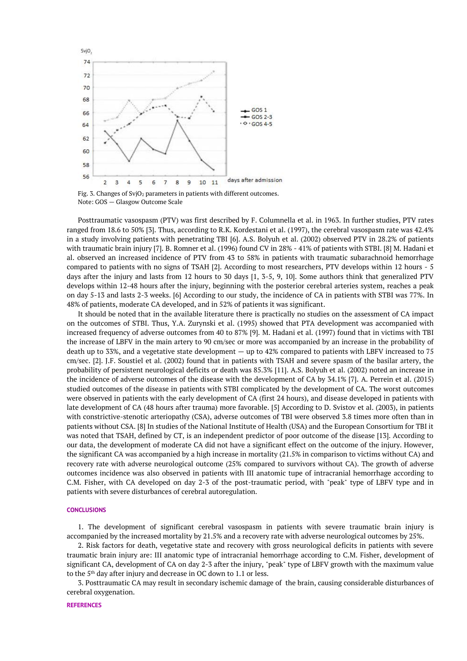

Fig. 3. Changes of SvjO<sub>2</sub> parameters in patients with different outcomes. Note: GOS — Glasgow Outcome Scale

Posttraumatic vasospasm (PTV) was first described by F. Columnella et al. in 1963. In further studies, PTV rates ranged from 18.6 to 50% [3]. Thus, according to R.K. Kordestani et al. (1997), the cerebral vasospasm rate was 42.4% in a study involving patients with penetrating TBI [6]. A.S. Bolyuh et al. (2002) observed PTV in 28.2% of patients with traumatic brain injury [7]. B. Romner et al. (1996) found CV in 28% - 41% of patients with STBI. [8] M. Hadani et al. observed an increased incidence of PTV from 43 to 58% in patients with traumatic subarachnoid hemorrhage compared to patients with no signs of TSAH [2]. According to most researchers, PTV develops within 12 hours - 5 days after the injury and lasts from 12 hours to 30 days [1, 3-5, 9, 10]. Some authors think that generalized PTV develops within 12-48 hours after the injury, beginning with the posterior cerebral arteries system, reaches a peak on day 5-13 and lasts 2-3 weeks. [6] According to our study, the incidence of CA in patients with STBI was 77%. In 48% of patients, moderate CA developed, and in 52% of patients it was significant.

It should be noted that in the available literature there is practically no studies on the assessment of CA impact on the outcomes of STBI. Thus, Y.A. Zurynski et al. (1995) showed that PTA development was accompanied with increased frequency of adverse outcomes from 40 to 87% [9]. M. Hadani et al. (1997) found that in victims with TBI the increase of LBFV in the main artery to 90 cm/sec or more was accompanied by an increase in the probability of death up to 33%, and a vegetative state development — up to 42% compared to patients with LBFV increased to 75 cm/sec. [2]. J.F. Soustiel et al. (2002) found that in patients with TSAH and severe spasm of the basilar artery, the probability of persistent neurological deficits or death was 85.3% [11]. A.S. Bolyuh et al. (2002) noted an increase in the incidence of adverse outcomes of the disease with the development of CA by 34.1% [7]. A. Perrein et al. (2015) studied outcomes of the disease in patients with STBI complicated by the development of CA. The worst outcomes were observed in patients with the early development of CA (first 24 hours), and disease developed in patients with late development of CA (48 hours after trauma) more favorable. [5] According to D. Svistov et al. (2003), in patients with constrictive-stenotic arteriopathy (CSA), adverse outcomes of TBI were observed 3.8 times more often than in patients without CSA. [8] In studies of the National Institute of Health (USA) and the European Consortium for TBI it was noted that TSAH, defined by CT, is an independent predictor of poor outcome of the disease [13]. According to our data, the development of moderate CA did not have a significant effect on the outcome of the injury. However, the significant CA was accompanied by a high increase in mortality (21.5% in comparison to victims without CA) and recovery rate with adverse neurological outcome (25% compared to survivors without CA). The growth of adverse outcomes incidence was also observed in patients with III anatomic tupe of intracranial hemorrhage according to C.M. Fisher, with CA developed on day 2-3 of the post-traumatic period, with "peak" type of LBFV type and in patients with severe disturbances of cerebral autoregulation.

### **CONCLUSIONS**

1. The development of significant cerebral vasospasm in patients with severe traumatic brain injury is accompanied by the increased mortality by 21.5% and a recovery rate with adverse neurological outcomes by 25%.

2. Risk factors for death, vegetative state and recovery with gross neurological deficits in patients with severe traumatic brain injury are: III anatomic type of intracranial hemorrhage according to C.M. Fisher, development of significant CA, development of CA on day 2-3 after the injury, "peak" type of LBFV growth with the maximum value to the 5th day after injury and decrease in OC down to 1.1 or less.

3. Posttraumatic CA may result in secondary ischemic damage of the brain, causing considerable disturbances of cerebral oxygenation.

#### **REFERENCES**